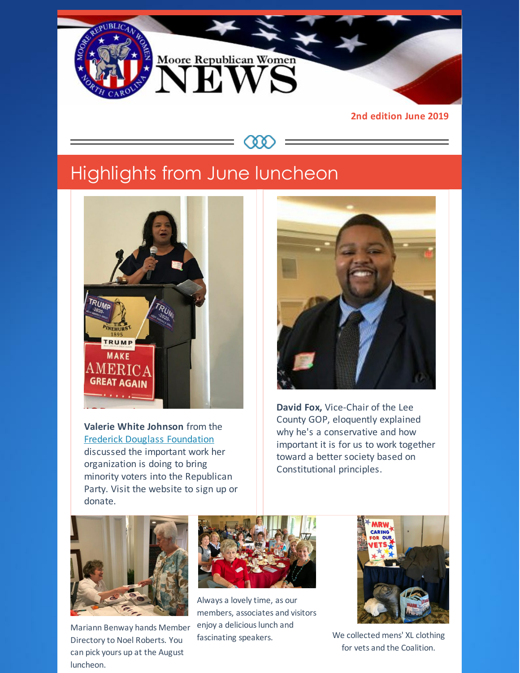

**C Q Q** 

**2nd edition June 2019**

# Highlights from June luncheon



**Valerie White Johnson** from the Frederick Douglass [Foundation](http://tfdf.org) discussed the important work her organization is doing to bring minority voters into the Republican Party. Visit the website to sign up or donate.



**David Fox,** Vice-Chair of the Lee County GOP, eloquently explained why he's a conservative and how important it is for us to work together toward a better society based on Constitutional principles.



Mariann Benway hands Member Directory to Noel Roberts. You can pick yours up at the August luncheon.



Always a lovely time, as our members, associates and visitors enjoy a delicious lunch and fascinating speakers. We collected mens' XL clothing



for vets and the Coalition.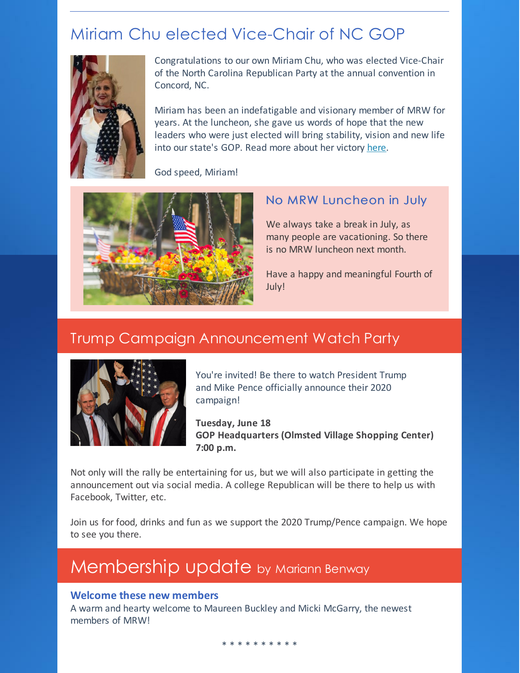## Miriam Chu elected Vice-Chair of NC GOP



Congratulations to our own Miriam Chu, who was elected Vice-Chair of the North Carolina Republican Party at the annual convention in Concord, NC.

Miriam has been an indefatigable and visionary member of MRW for years. At the luncheon, she gave us words of hope that the new leaders who were just elected will bring stability, vision and new life into our state's GOP. Read more about her victory [here](https://resolvenc.blog/2019/06/10/the-good-fight/).

God speed, Miriam!



### No MRW Luncheon in July

We always take a break in July, as many people are vacationing. So there is no MRW luncheon next month.

Have a happy and meaningful Fourth of July!

## Trump Campaign Announcement Watch Party



You're invited! Be there to watch President Trump and Mike Pence officially announce their 2020 campaign!

**Tuesday, June 18 GOP Headquarters (Olmsted Village Shopping Center) 7:00 p.m.**

Not only will the rally be entertaining for us, but we will also participate in getting the announcement out via social media. A college Republican will be there to help us with Facebook, Twitter, etc.

Join us for food, drinks and fun as we support the 2020 Trump/Pence campaign. We hope to see you there.

# Membership update by Mariann Benway

#### **Welcome these new members**

A warm and hearty welcome to Maureen Buckley and Micki McGarry, the newest members of MRW!

\* \* \* \* \* \* \* \* \* \*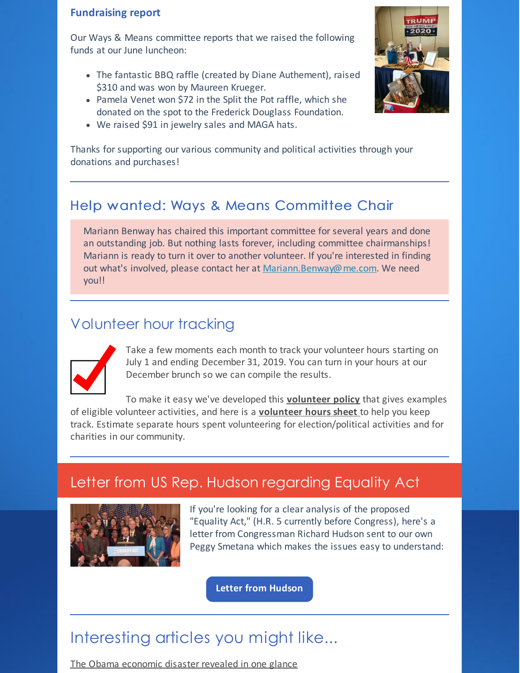#### **Fundraising report**

Our Ways & Means committee reports that we raised the following funds at our June luncheon:

- The fantastic BBQ raffle (created by Diane Authement), raised \$310 and was won by Maureen Krueger.
- Pamela Venet won \$72 in the Split the Pot raffle, which she donated on the spot to the Frederick Douglass Foundation.
- We raised \$91 in jewelry sales and MAGA hats.

Thanks for supporting our various community and political activities through your donations and purchases!

## Help wanted: Ways & Means Committee Chair

Mariann Benway has chaired this important committee for several years and done an outstanding job. But nothing lasts forever, including committee chairmanships! Mariann is ready to turn it over to another volunteer. If you're interested in finding out what's involved, please contact her at [Mariann.Benway@me.com](mailto:Mariann.Benway@me.com). We need you!!

## Volunteer hour tracking



Take a few moments each month to track your volunteer hours starting on July 1 and ending December 31, 2019. You can turn in your hours at our December brunch so we can compile the results.

To make it easy we've developed this **[volunteer](https://files.constantcontact.com/30571cb6701/4d57730e-6cdc-4ed5-bf66-28385920857c.pdf) policy** that gives examples of eligible volunteer activities, and here is a **[volunteer](https://files.constantcontact.com/30571cb6701/deccbbff-d77d-41a0-a1ac-f1e047420854.pdf) hours sheet** to help you keep track. Estimate separate hours spent volunteering for election/political activities and for charities in our community.

## Letter from US Rep. Hudson regarding Equality Act



If you're looking for a clear analysis of the proposed "Equality Act," (H.R. 5 currently before Congress), here's a letter from Congressman Richard Hudson sent to our own Peggy Smetana which makes the issues easy to understand:

**Letter from [Hudson](https://files.constantcontact.com/30571cb6701/58a273a1-513d-4922-ab7d-778896b47f7c.pdf)**

## Interesting articles you might like...

The Obama [economic](https://www.americanthinker.com/blog/2019/06/the_obama_economic_disaster_revealed_in_one_glance.html) disaster revealed in one glance